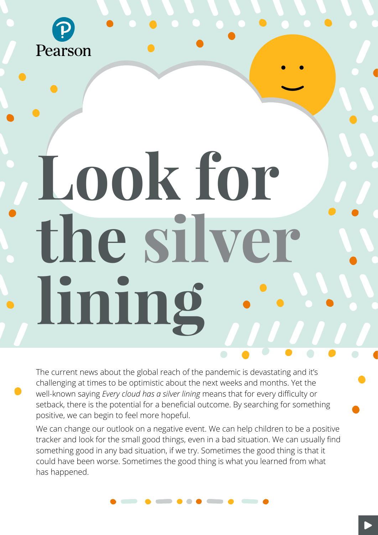

# **Look for the silver lining**

The current news about the global reach of the pandemic is devastating and it's challenging at times to be optimistic about the next weeks and months. Yet the well-known saying *Every cloud has a silver lining* means that for every difficulty or setback, there is the potential for a beneficial outcome. By searching for something positive, we can begin to feel more hopeful.

We can change our outlook on a negative event. We can help children to be a positive tracker and look for the small good things, even in a bad situation. We can usually find something good in any bad situation, if we try. Sometimes the good thing is that it could have been worse. Sometimes the good thing is what you learned from what has happened.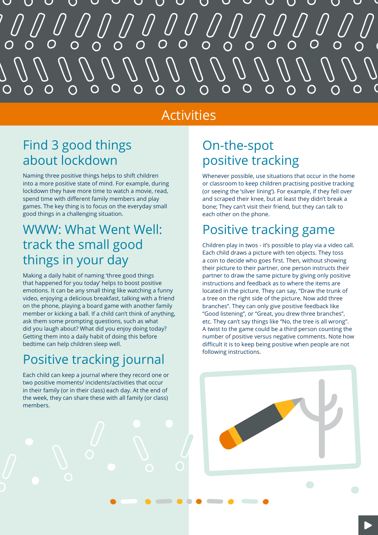# O

### Activities

# Find 3 good things about lockdown

Naming three positive things helps to shift children into a more positive state of mind. For example, during lockdown they have more time to watch a movie, read, spend time with different family members and play games. The key thing is to focus on the everyday small good things in a challenging situation.

# WWW: What Went Well: track the small good things in your day

Making a daily habit of naming 'three good things that happened for you today' helps to boost positive emotions. It can be any small thing like watching a funny video, enjoying a delicious breakfast, talking with a friend on the phone, playing a board game with another family member or kicking a ball. If a child can't think of anything, ask them some prompting questions, such as what did you laugh about? What did you enjoy doing today? Getting them into a daily habit of doing this before bedtime can help children sleep well.

# Positive tracking journal

Each child can keep a journal where they record one or two positive moments/ incidents/activities that occur in their family (or in their class) each day. At the end of the week, they can share these with all family (or class) members.

# On-the-spot positive tracking

Whenever possible, use situations that occur in the home or classroom to keep children practising positive tracking (or seeing the 'silver lining'). For example, if they fell over and scraped their knee, but at least they didn't break a bone; They can't visit their friend, but they can talk to each other on the phone.

# Positive tracking game

Children play in twos - it's possible to play via a video call. Each child draws a picture with ten objects. They toss a coin to decide who goes first. Then, without showing their picture to their partner, one person instructs their partner to draw the same picture by giving only positive instructions and feedback as to where the items are located in the picture. They can say, "Draw the trunk of a tree on the right side of the picture. Now add three branches". They can only give positive feedback like "Good listening", or "Great, you drew three branches", etc. They can't say things like "No, the tree is all wrong". A twist to the game could be a third person counting the number of positive versus negative comments. Note how difficult it is to keep being positive when people are not following instructions.